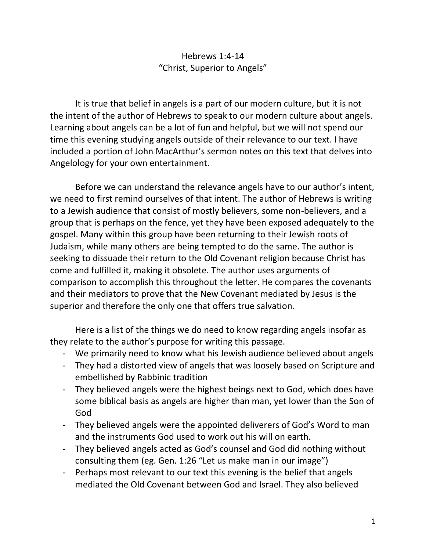### Hebrews 1:4-14 "Christ, Superior to Angels"

It is true that belief in angels is a part of our modern culture, but it is not the intent of the author of Hebrews to speak to our modern culture about angels. Learning about angels can be a lot of fun and helpful, but we will not spend our time this evening studying angels outside of their relevance to our text. I have included a portion of John MacArthur's sermon notes on this text that delves into Angelology for your own entertainment.

Before we can understand the relevance angels have to our author's intent, we need to first remind ourselves of that intent. The author of Hebrews is writing to a Jewish audience that consist of mostly believers, some non-believers, and a group that is perhaps on the fence, yet they have been exposed adequately to the gospel. Many within this group have been returning to their Jewish roots of Judaism, while many others are being tempted to do the same. The author is seeking to dissuade their return to the Old Covenant religion because Christ has come and fulfilled it, making it obsolete. The author uses arguments of comparison to accomplish this throughout the letter. He compares the covenants and their mediators to prove that the New Covenant mediated by Jesus is the superior and therefore the only one that offers true salvation.

Here is a list of the things we do need to know regarding angels insofar as they relate to the author's purpose for writing this passage.

- We primarily need to know what his Jewish audience believed about angels
- They had a distorted view of angels that was loosely based on Scripture and embellished by Rabbinic tradition
- They believed angels were the highest beings next to God, which does have some biblical basis as angels are higher than man, yet lower than the Son of God
- They believed angels were the appointed deliverers of God's Word to man and the instruments God used to work out his will on earth.
- They believed angels acted as God's counsel and God did nothing without consulting them (eg. Gen. 1:26 "Let us make man in our image")
- Perhaps most relevant to our text this evening is the belief that angels mediated the Old Covenant between God and Israel. They also believed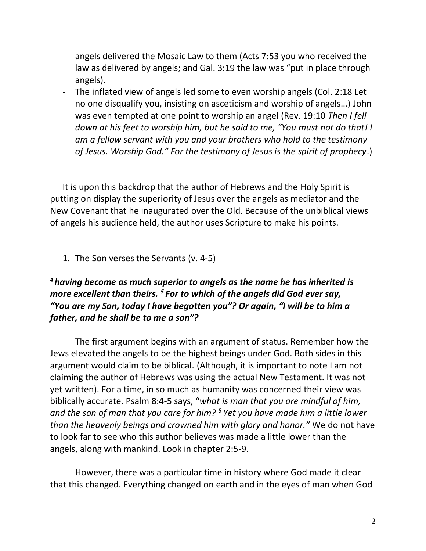angels delivered the Mosaic Law to them (Acts 7:53 you who received the law as delivered by angels; and Gal. 3:19 the law was "put in place through angels).

The inflated view of angels led some to even worship angels (Col. 2:18 Let no one disqualify you, insisting on asceticism and worship of angels…) John was even tempted at one point to worship an angel (Rev. 19:10 *Then I fell down at his feet to worship him, but he said to me, "You must not do that! I am a fellow servant with you and your brothers who hold to the testimony of Jesus. Worship God." For the testimony of Jesus is the spirit of prophecy*.)

It is upon this backdrop that the author of Hebrews and the Holy Spirit is putting on display the superiority of Jesus over the angels as mediator and the New Covenant that he inaugurated over the Old. Because of the unbiblical views of angels his audience held, the author uses Scripture to make his points.

#### 1. The Son verses the Servants (v. 4-5)

# *<sup>4</sup> having become as much superior to angels as the name he has inherited is more excellent than theirs. <sup>5</sup> For to which of the angels did God ever say, "You are my Son, today I have begotten you"? Or again, "I will be to him a father, and he shall be to me a son"?*

The first argument begins with an argument of status. Remember how the Jews elevated the angels to be the highest beings under God. Both sides in this argument would claim to be biblical. (Although, it is important to note I am not claiming the author of Hebrews was using the actual New Testament. It was not yet written). For a time, in so much as humanity was concerned their view was biblically accurate. Psalm 8:4-5 says, "*what is man that you are mindful of him, and the son of man that you care for him? <sup>5</sup> Yet you have made him a little lower than the heavenly beings and crowned him with glory and honor."* We do not have to look far to see who this author believes was made a little lower than the angels, along with mankind. Look in chapter 2:5-9.

However, there was a particular time in history where God made it clear that this changed. Everything changed on earth and in the eyes of man when God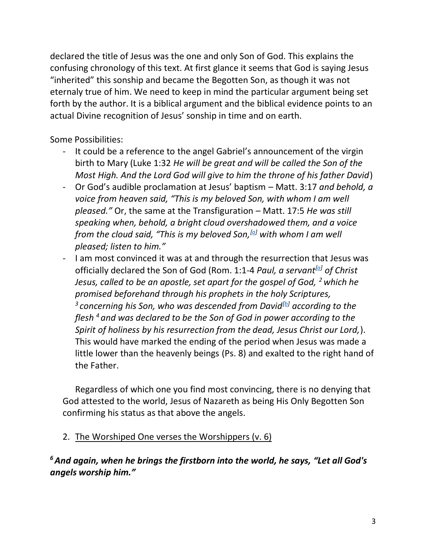declared the title of Jesus was the one and only Son of God. This explains the confusing chronology of this text. At first glance it seems that God is saying Jesus "inherited" this sonship and became the Begotten Son, as though it was not eternaly true of him. We need to keep in mind the particular argument being set forth by the author. It is a biblical argument and the biblical evidence points to an actual Divine recognition of Jesus' sonship in time and on earth.

Some Possibilities:

- It could be a reference to the angel Gabriel's announcement of the virgin birth to Mary (Luke 1:32 *He will be great and will be called the Son of the Most High. And the Lord God will give to him the throne of his father David*)
- Or God's audible proclamation at Jesus' baptism Matt. 3:17 *and behold, a voice from heaven said, "This is my beloved Son, with whom I am well pleased."* Or, the same at the Transfiguration – Matt. 17:5 *He was still speaking when, behold, a bright cloud overshadowed them, and a voice from the cloud said, "This is my beloved Son,[\[a\]](https://www.biblegateway.com/passage/?search=matt+17%3A5&version=ESV#fen-ESV-23705a) with whom I am well pleased; listen to him."*
- I am most convinced it was at and through the resurrection that Jesus was officially declared the Son of God (Rom. 1:1-4 *Paul, a servant[\[a\]](https://www.biblegateway.com/passage/?search=rom+1&version=ESV#fen-ESV-27916a) of Christ Jesus, called to be an apostle, set apart for the gospel of God, <sup>2</sup> which he promised beforehand through his prophets in the holy Scriptures, 3 concerning his Son, who was descended from David[\[b\]](https://www.biblegateway.com/passage/?search=rom+1&version=ESV#fen-ESV-27918b) according to the flesh <sup>4</sup> and was declared to be the Son of God in power according to the Spirit of holiness by his resurrection from the dead, Jesus Christ our Lord,*). This would have marked the ending of the period when Jesus was made a little lower than the heavenly beings (Ps. 8) and exalted to the right hand of the Father.

Regardless of which one you find most convincing, there is no denying that God attested to the world, Jesus of Nazareth as being His Only Begotten Son confirming his status as that above the angels.

2. The Worshiped One verses the Worshippers (v. 6)

*<sup>6</sup>And again, when he brings the firstborn into the world, he says, "Let all God's angels worship him."*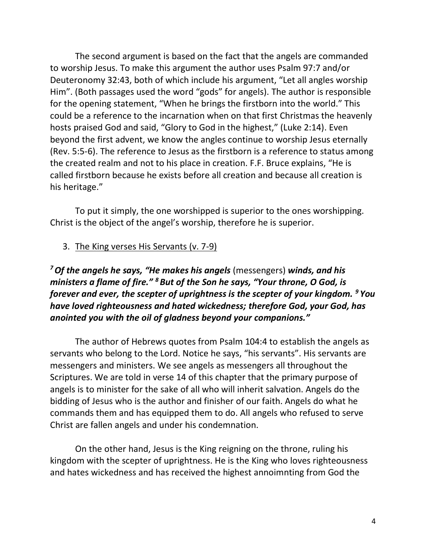The second argument is based on the fact that the angels are commanded to worship Jesus. To make this argument the author uses Psalm 97:7 and/or Deuteronomy 32:43, both of which include his argument, "Let all angles worship Him". (Both passages used the word "gods" for angels). The author is responsible for the opening statement, "When he brings the firstborn into the world." This could be a reference to the incarnation when on that first Christmas the heavenly hosts praised God and said, "Glory to God in the highest," (Luke 2:14). Even beyond the first advent, we know the angles continue to worship Jesus eternally (Rev. 5:5-6). The reference to Jesus as the firstborn is a reference to status among the created realm and not to his place in creation. F.F. Bruce explains, "He is called firstborn because he exists before all creation and because all creation is his heritage."

To put it simply, the one worshipped is superior to the ones worshipping. Christ is the object of the angel's worship, therefore he is superior.

#### 3. The King verses His Servants (v. 7-9)

*<sup>7</sup>Of the angels he says, "He makes his angels* (messengers) *winds, and his ministers a flame of fire." <sup>8</sup>But of the Son he says, "Your throne, O God, is forever and ever, the scepter of uprightness is the scepter of your kingdom. <sup>9</sup> You have loved righteousness and hated wickedness; therefore God, your God, has anointed you with the oil of gladness beyond your companions."*

The author of Hebrews quotes from Psalm 104:4 to establish the angels as servants who belong to the Lord. Notice he says, "his servants". His servants are messengers and ministers. We see angels as messengers all throughout the Scriptures. We are told in verse 14 of this chapter that the primary purpose of angels is to minister for the sake of all who will inherit salvation. Angels do the bidding of Jesus who is the author and finisher of our faith. Angels do what he commands them and has equipped them to do. All angels who refused to serve Christ are fallen angels and under his condemnation.

On the other hand, Jesus is the King reigning on the throne, ruling his kingdom with the scepter of uprightness. He is the King who loves righteousness and hates wickedness and has received the highest annoimnting from God the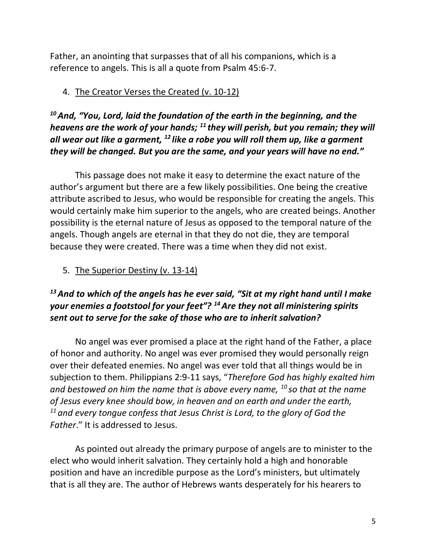Father, an anointing that surpasses that of all his companions, which is a reference to angels. This is all a quote from Psalm 45:6-7.

### 4. The Creator Verses the Created (v. 10-12)

*<sup>10</sup>And, "You, Lord, laid the foundation of the earth in the beginning, and the heavens are the work of your hands; <sup>11</sup> they will perish, but you remain; they will all wear out like a garment, <sup>12</sup> like a robe you will roll them up, like a garment they will be changed. But you are the same, and your years will have no end."*

This passage does not make it easy to determine the exact nature of the author's argument but there are a few likely possibilities. One being the creative attribute ascribed to Jesus, who would be responsible for creating the angels. This would certainly make him superior to the angels, who are created beings. Another possibility is the eternal nature of Jesus as opposed to the temporal nature of the angels. Though angels are eternal in that they do not die, they are temporal because they were created. There was a time when they did not exist.

5. The Superior Destiny (v. 13-14)

# *<sup>13</sup>And to which of the angels has he ever said, "Sit at my right hand until I make your enemies a footstool for your feet"? <sup>14</sup>Are they not all ministering spirits sent out to serve for the sake of those who are to inherit salvation?*

No angel was ever promised a place at the right hand of the Father, a place of honor and authority. No angel was ever promised they would personally reign over their defeated enemies. No angel was ever told that all things would be in subjection to them. Philippians 2:9-11 says, "*Therefore God has highly exalted him and bestowed on him the name that is above every name, <sup>10</sup> so that at the name of Jesus every knee should bow, in heaven and on earth and under the earth, <sup>11</sup> and every tongue confess that Jesus Christ is Lord, to the glory of God the Father*." It is addressed to Jesus.

As pointed out already the primary purpose of angels are to minister to the elect who would inherit salvation. They certainly hold a high and honorable position and have an incredible purpose as the Lord's ministers, but ultimately that is all they are. The author of Hebrews wants desperately for his hearers to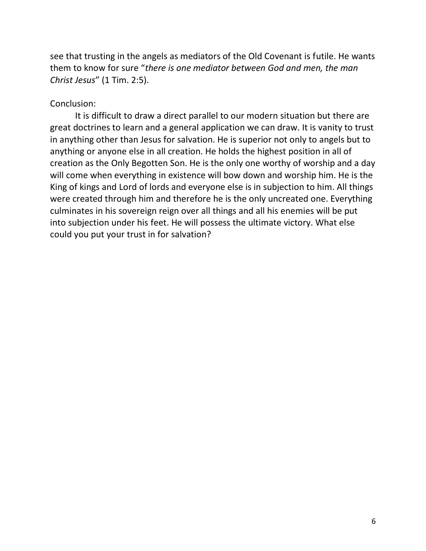see that trusting in the angels as mediators of the Old Covenant is futile. He wants them to know for sure "*there is one mediator between God and men, the man Christ Jesus*" (1 Tim. 2:5).

#### Conclusion:

It is difficult to draw a direct parallel to our modern situation but there are great doctrines to learn and a general application we can draw. It is vanity to trust in anything other than Jesus for salvation. He is superior not only to angels but to anything or anyone else in all creation. He holds the highest position in all of creation as the Only Begotten Son. He is the only one worthy of worship and a day will come when everything in existence will bow down and worship him. He is the King of kings and Lord of lords and everyone else is in subjection to him. All things were created through him and therefore he is the only uncreated one. Everything culminates in his sovereign reign over all things and all his enemies will be put into subjection under his feet. He will possess the ultimate victory. What else could you put your trust in for salvation?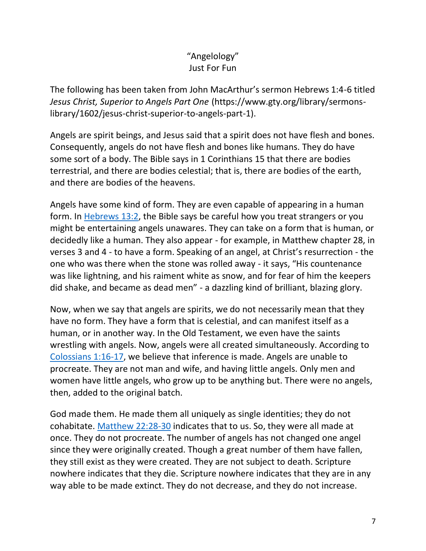# "Angelology" Just For Fun

The following has been taken from John MacArthur's sermon Hebrews 1:4-6 titled *Jesus Christ, Superior to Angels Part One* (https://www.gty.org/library/sermonslibrary/1602/jesus-christ-superior-to-angels-part-1).

Angels are spirit beings, and Jesus said that a spirit does not have flesh and bones. Consequently, angels do not have flesh and bones like humans. They do have some sort of a body. The Bible says in 1 Corinthians 15 that there are bodies terrestrial, and there are bodies celestial; that is, there are bodies of the earth, and there are bodies of the heavens.

Angels have some kind of form. They are even capable of appearing in a human form. In [Hebrews 13:2,](https://biblia.com/bible/nasb95/Heb%2013.2) the Bible says be careful how you treat strangers or you might be entertaining angels unawares. They can take on a form that is human, or decidedly like a human. They also appear - for example, in Matthew chapter 28, in verses 3 and 4 - to have a form. Speaking of an angel, at Christ's resurrection - the one who was there when the stone was rolled away - it says, "His countenance was like lightning, and his raiment white as snow, and for fear of him the keepers did shake, and became as dead men" - a dazzling kind of brilliant, blazing glory.

Now, when we say that angels are spirits, we do not necessarily mean that they have no form. They have a form that is celestial, and can manifest itself as a human, or in another way. In the Old Testament, we even have the saints wrestling with angels. Now, angels were all created simultaneously. According to [Colossians 1:16-17,](https://biblia.com/bible/nasb95/Col%201.16-17) we believe that inference is made. Angels are unable to procreate. They are not man and wife, and having little angels. Only men and women have little angels, who grow up to be anything but. There were no angels, then, added to the original batch.

God made them. He made them all uniquely as single identities; they do not cohabitate. [Matthew 22:28-30](https://biblia.com/bible/nasb95/Matt%2022.28-30) indicates that to us. So, they were all made at once. They do not procreate. The number of angels has not changed one angel since they were originally created. Though a great number of them have fallen, they still exist as they were created. They are not subject to death. Scripture nowhere indicates that they die. Scripture nowhere indicates that they are in any way able to be made extinct. They do not decrease, and they do not increase.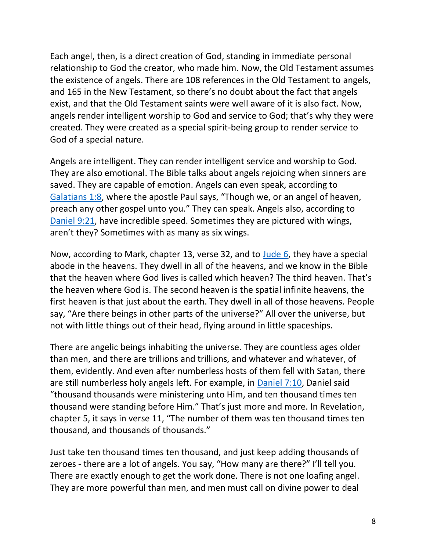Each angel, then, is a direct creation of God, standing in immediate personal relationship to God the creator, who made him. Now, the Old Testament assumes the existence of angels. There are 108 references in the Old Testament to angels, and 165 in the New Testament, so there's no doubt about the fact that angels exist, and that the Old Testament saints were well aware of it is also fact. Now, angels render intelligent worship to God and service to God; that's why they were created. They were created as a special spirit-being group to render service to God of a special nature.

Angels are intelligent. They can render intelligent service and worship to God. They are also emotional. The Bible talks about angels rejoicing when sinners are saved. They are capable of emotion. Angels can even speak, according to [Galatians 1:8](https://biblia.com/bible/nasb95/Gal%201.8), where the apostle Paul says, "Though we, or an angel of heaven, preach any other gospel unto you." They can speak. Angels also, according to [Daniel 9:21,](https://biblia.com/bible/nasb95/Dan%209.21) have incredible speed. Sometimes they are pictured with wings, aren't they? Sometimes with as many as six wings.

Now, according to Mark, chapter 13, verse 32, and to [Jude 6,](https://biblia.com/bible/nasb95/Jude%206) they have a special abode in the heavens. They dwell in all of the heavens, and we know in the Bible that the heaven where God lives is called which heaven? The third heaven. That's the heaven where God is. The second heaven is the spatial infinite heavens, the first heaven is that just about the earth. They dwell in all of those heavens. People say, "Are there beings in other parts of the universe?" All over the universe, but not with little things out of their head, flying around in little spaceships.

There are angelic beings inhabiting the universe. They are countless ages older than men, and there are trillions and trillions, and whatever and whatever, of them, evidently. And even after numberless hosts of them fell with Satan, there are still numberless holy angels left. For example, in [Daniel 7:10,](https://biblia.com/bible/nasb95/Dan%207.10) Daniel said "thousand thousands were ministering unto Him, and ten thousand times ten thousand were standing before Him." That's just more and more. In Revelation, chapter 5, it says in verse 11, "The number of them was ten thousand times ten thousand, and thousands of thousands."

Just take ten thousand times ten thousand, and just keep adding thousands of zeroes - there are a lot of angels. You say, "How many are there?" I'll tell you. There are exactly enough to get the work done. There is not one loafing angel. They are more powerful than men, and men must call on divine power to deal